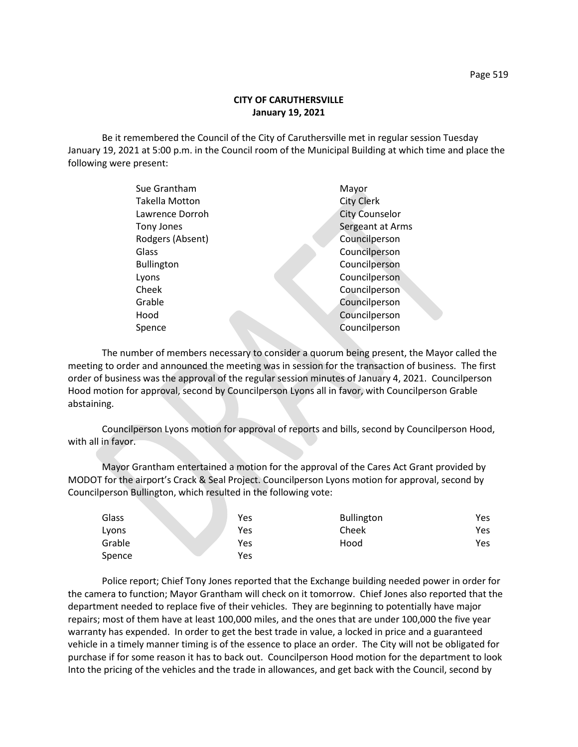## **CITY OF CARUTHERSVILLE January 19, 2021**

Be it remembered the Council of the City of Caruthersville met in regular session Tuesday January 19, 2021 at 5:00 p.m. in the Council room of the Municipal Building at which time and place the following were present:

| Sue Grantham      | Mayor                 |
|-------------------|-----------------------|
| Takella Motton    | <b>City Clerk</b>     |
| Lawrence Dorroh   | <b>City Counselor</b> |
| Tony Jones        | Sergeant at Arms      |
| Rodgers (Absent)  | Councilperson         |
| Glass             | Councilperson         |
| <b>Bullington</b> | Councilperson         |
| Lyons             | Councilperson         |
| Cheek             | Councilperson         |
| Grable            | Councilperson         |
| Hood              | Councilperson         |
| Spence            | Councilperson         |
|                   |                       |

The number of members necessary to consider a quorum being present, the Mayor called the meeting to order and announced the meeting was in session for the transaction of business. The first order of business was the approval of the regular session minutes of January 4, 2021. Councilperson Hood motion for approval, second by Councilperson Lyons all in favor, with Councilperson Grable abstaining.

Councilperson Lyons motion for approval of reports and bills, second by Councilperson Hood, with all in favor.

Mayor Grantham entertained a motion for the approval of the Cares Act Grant provided by MODOT for the airport's Crack & Seal Project. Councilperson Lyons motion for approval, second by Councilperson Bullington, which resulted in the following vote:

| Glass  | Yes | <b>Bullington</b> | Yes |
|--------|-----|-------------------|-----|
| Lyons  | Yes | Cheek             | Yes |
| Grable | Yes | Hood              | Yes |
| Spence | Yes |                   |     |

Police report; Chief Tony Jones reported that the Exchange building needed power in order for the camera to function; Mayor Grantham will check on it tomorrow. Chief Jones also reported that the department needed to replace five of their vehicles. They are beginning to potentially have major repairs; most of them have at least 100,000 miles, and the ones that are under 100,000 the five year warranty has expended. In order to get the best trade in value, a locked in price and a guaranteed vehicle in a timely manner timing is of the essence to place an order. The City will not be obligated for purchase if for some reason it has to back out. Councilperson Hood motion for the department to look Into the pricing of the vehicles and the trade in allowances, and get back with the Council, second by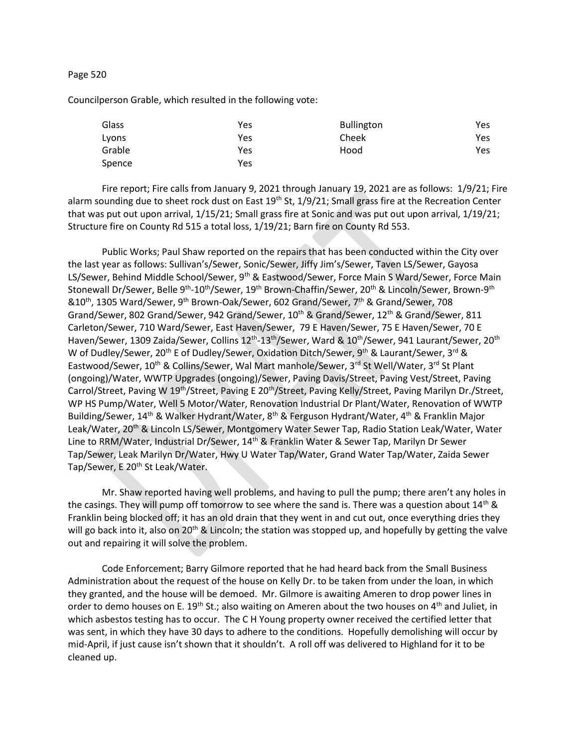## Page 520

Councilperson Grable, which resulted in the following vote:

| Glass  | Yes | <b>Bullington</b> | Yes  |
|--------|-----|-------------------|------|
| Lyons  | Yes | Cheek             | Yes  |
| Grable | Yes | Hood              | Yes. |
| Spence | Yes |                   |      |

Fire report; Fire calls from January 9, 2021 through January 19, 2021 are as follows: 1/9/21; Fire alarm sounding due to sheet rock dust on East  $19^{th}$  St,  $1/9/21$ ; Small grass fire at the Recreation Center that was put out upon arrival, 1/15/21; Small grass fire at Sonic and was put out upon arrival, 1/19/21; Structure fire on County Rd 515 a total loss, 1/19/21; Barn fire on County Rd 553.

Public Works; Paul Shaw reported on the repairs that has been conducted within the City over the last year as follows: Sullivan's/Sewer, Sonic/Sewer, Jiffy Jim's/Sewer, Taven LS/Sewer, Gayosa LS/Sewer, Behind Middle School/Sewer, 9<sup>th</sup> & Eastwood/Sewer, Force Main S Ward/Sewer, Force Main Stonewall Dr/Sewer, Belle 9<sup>th</sup>-10<sup>th</sup>/Sewer, 19<sup>th</sup> Brown-Chaffin/Sewer, 20<sup>th</sup> & Lincoln/Sewer, Brown-9<sup>th</sup> &10th, 1305 Ward/Sewer, 9th Brown-Oak/Sewer, 602 Grand/Sewer, 7th & Grand/Sewer, 708 Grand/Sewer, 802 Grand/Sewer, 942 Grand/Sewer, 10<sup>th</sup> & Grand/Sewer, 12<sup>th</sup> & Grand/Sewer, 811 Carleton/Sewer, 710 Ward/Sewer, East Haven/Sewer, 79 E Haven/Sewer, 75 E Haven/Sewer, 70 E Haven/Sewer, 1309 Zaida/Sewer, Collins 12<sup>th</sup>-13<sup>th</sup>/Sewer, Ward & 10<sup>th</sup>/Sewer, 941 Laurant/Sewer, 20<sup>th</sup> W of Dudley/Sewer, 20<sup>th</sup> E of Dudley/Sewer, Oxidation Ditch/Sewer, 9<sup>th</sup> & Laurant/Sewer, 3<sup>rd</sup> & Eastwood/Sewer, 10<sup>th</sup> & Collins/Sewer, Wal Mart manhole/Sewer, 3rd St Well/Water, 3rd St Plant (ongoing)/Water, WWTP Upgrades (ongoing)/Sewer, Paving Davis/Street, Paving Vest/Street, Paving Carrol/Street, Paving W 19<sup>th</sup>/Street, Paving E 20<sup>th</sup>/Street, Paving Kelly/Street, Paving Marilyn Dr./Street, WP HS Pump/Water, Well 5 Motor/Water, Renovation Industrial Dr Plant/Water, Renovation of WWTP Building/Sewer, 14<sup>th</sup> & Walker Hydrant/Water, 8<sup>th</sup> & Ferguson Hydrant/Water, 4<sup>th</sup> & Franklin Major Leak/Water, 20<sup>th</sup> & Lincoln LS/Sewer, Montgomery Water Sewer Tap, Radio Station Leak/Water, Water Line to RRM/Water, Industrial Dr/Sewer, 14<sup>th</sup> & Franklin Water & Sewer Tap, Marilyn Dr Sewer Tap/Sewer, Leak Marilyn Dr/Water, Hwy U Water Tap/Water, Grand Water Tap/Water, Zaida Sewer Tap/Sewer, E 20<sup>th</sup> St Leak/Water.

Mr. Shaw reported having well problems, and having to pull the pump; there aren't any holes in the casings. They will pump off tomorrow to see where the sand is. There was a question about  $14<sup>th</sup>$  & Franklin being blocked off; it has an old drain that they went in and cut out, once everything dries they will go back into it, also on 20<sup>th</sup> & Lincoln; the station was stopped up, and hopefully by getting the valve out and repairing it will solve the problem.

Code Enforcement; Barry Gilmore reported that he had heard back from the Small Business Administration about the request of the house on Kelly Dr. to be taken from under the loan, in which they granted, and the house will be demoed. Mr. Gilmore is awaiting Ameren to drop power lines in order to demo houses on E. 19<sup>th</sup> St.; also waiting on Ameren about the two houses on 4<sup>th</sup> and Juliet, in which asbestos testing has to occur. The C H Young property owner received the certified letter that was sent, in which they have 30 days to adhere to the conditions. Hopefully demolishing will occur by mid-April, if just cause isn't shown that it shouldn't. A roll off was delivered to Highland for it to be cleaned up.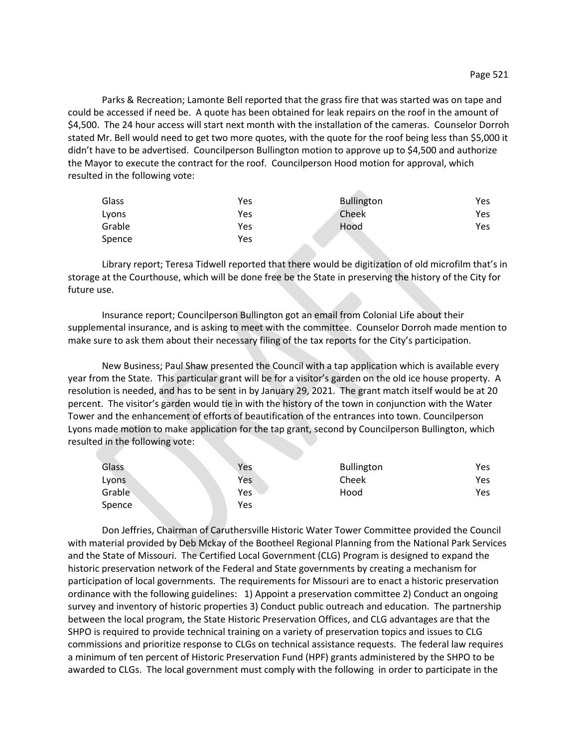Parks & Recreation; Lamonte Bell reported that the grass fire that was started was on tape and could be accessed if need be. A quote has been obtained for leak repairs on the roof in the amount of \$4,500. The 24 hour access will start next month with the installation of the cameras. Counselor Dorroh stated Mr. Bell would need to get two more quotes, with the quote for the roof being less than \$5,000 it didn't have to be advertised. Councilperson Bullington motion to approve up to \$4,500 and authorize the Mayor to execute the contract for the roof. Councilperson Hood motion for approval, which resulted in the following vote:

| Glass  | Yes | <b>Bullington</b> | Yes |
|--------|-----|-------------------|-----|
| Lyons  | Yes | Cheek             | Yes |
| Grable | Yes | Hood              | Yes |
| Spence | Yes |                   |     |

Library report; Teresa Tidwell reported that there would be digitization of old microfilm that's in storage at the Courthouse, which will be done free be the State in preserving the history of the City for future use.

Insurance report; Councilperson Bullington got an email from Colonial Life about their supplemental insurance, and is asking to meet with the committee. Counselor Dorroh made mention to make sure to ask them about their necessary filing of the tax reports for the City's participation.

New Business; Paul Shaw presented the Council with a tap application which is available every year from the State. This particular grant will be for a visitor's garden on the old ice house property. A resolution is needed, and has to be sent in by January 29, 2021. The grant match itself would be at 20 percent. The visitor's garden would tie in with the history of the town in conjunction with the Water Tower and the enhancement of efforts of beautification of the entrances into town. Councilperson Lyons made motion to make application for the tap grant, second by Councilperson Bullington, which resulted in the following vote:

| Glass  | Yes | <b>Bullington</b> | Yes |
|--------|-----|-------------------|-----|
| Lyons  | Yes | Cheek             | Yes |
| Grable | Yes | Hood              | Yes |
| Spence | Yes |                   |     |

Don Jeffries, Chairman of Caruthersville Historic Water Tower Committee provided the Council with material provided by Deb Mckay of the Bootheel Regional Planning from the National Park Services and the State of Missouri. The Certified Local Government (CLG) Program is designed to expand the historic preservation network of the Federal and State governments by creating a mechanism for participation of local governments. The requirements for Missouri are to enact a historic preservation ordinance with the following guidelines: 1) Appoint a preservation committee 2) Conduct an ongoing survey and inventory of historic properties 3) Conduct public outreach and education. The partnership between the local program, the State Historic Preservation Offices, and CLG advantages are that the SHPO is required to provide technical training on a variety of preservation topics and issues to CLG commissions and prioritize response to CLGs on technical assistance requests. The federal law requires a minimum of ten percent of Historic Preservation Fund (HPF) grants administered by the SHPO to be awarded to CLGs. The local government must comply with the following in order to participate in the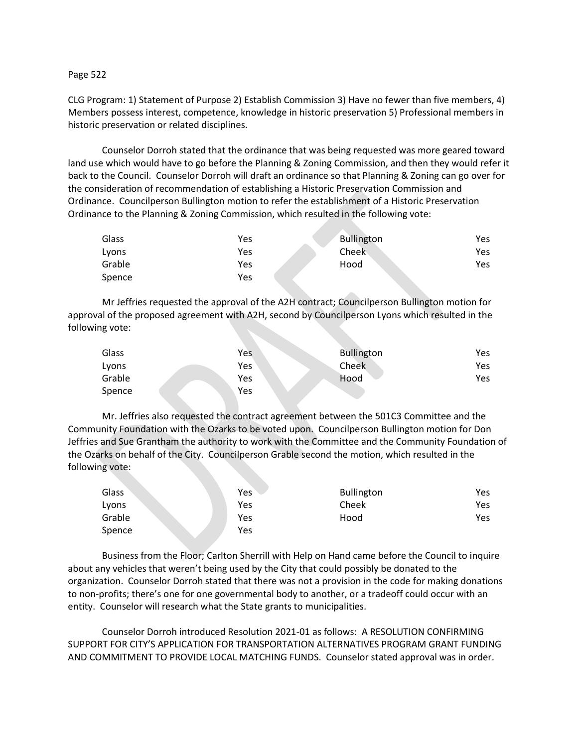## Page 522

CLG Program: 1) Statement of Purpose 2) Establish Commission 3) Have no fewer than five members, 4) Members possess interest, competence, knowledge in historic preservation 5) Professional members in historic preservation or related disciplines.

Counselor Dorroh stated that the ordinance that was being requested was more geared toward land use which would have to go before the Planning & Zoning Commission, and then they would refer it back to the Council. Counselor Dorroh will draft an ordinance so that Planning & Zoning can go over for the consideration of recommendation of establishing a Historic Preservation Commission and Ordinance. Councilperson Bullington motion to refer the establishment of a Historic Preservation Ordinance to the Planning & Zoning Commission, which resulted in the following vote:

| Glass  | Yes | Bullington | Yes |
|--------|-----|------------|-----|
| Lyons  | Yes | Cheek      | Yes |
| Grable | Yes | Hood       | Yes |
| Spence | Yes |            |     |

Mr Jeffries requested the approval of the A2H contract; Councilperson Bullington motion for approval of the proposed agreement with A2H, second by Councilperson Lyons which resulted in the following vote:

| Glass  | Yes | <b>Bullington</b> | Yes |
|--------|-----|-------------------|-----|
| Lyons  | Yes | Cheek             | Yes |
| Grable | Yes | Hood              | Yes |
| Spence | Yes |                   |     |

Mr. Jeffries also requested the contract agreement between the 501C3 Committee and the Community Foundation with the Ozarks to be voted upon. Councilperson Bullington motion for Don Jeffries and Sue Grantham the authority to work with the Committee and the Community Foundation of the Ozarks on behalf of the City. Councilperson Grable second the motion, which resulted in the following vote:

| Glass  | Yes | <b>Bullington</b> | Yes |
|--------|-----|-------------------|-----|
| Lyons  | Yes | Cheek             | Yes |
| Grable | Yes | Hood              | Yes |
| Spence | Yes |                   |     |

Business from the Floor; Carlton Sherrill with Help on Hand came before the Council to inquire about any vehicles that weren't being used by the City that could possibly be donated to the organization. Counselor Dorroh stated that there was not a provision in the code for making donations to non-profits; there's one for one governmental body to another, or a tradeoff could occur with an entity. Counselor will research what the State grants to municipalities.

Counselor Dorroh introduced Resolution 2021-01 as follows: A RESOLUTION CONFIRMING SUPPORT FOR CITY'S APPLICATION FOR TRANSPORTATION ALTERNATIVES PROGRAM GRANT FUNDING AND COMMITMENT TO PROVIDE LOCAL MATCHING FUNDS. Counselor stated approval was in order.